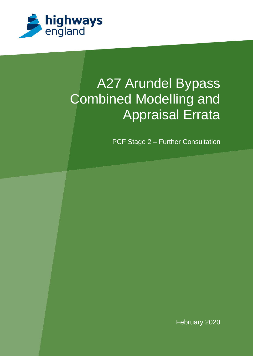

# A27 Arundel Bypass Combined Modelling and Appraisal Errata

PCF Stage 2 – Further Consultation

February 2020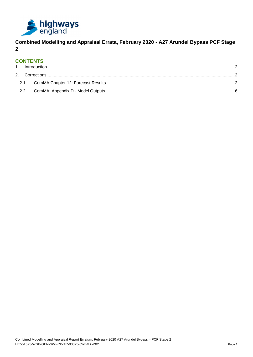

**Combined Modelling and Appraisal Errata, February 2020 - A27 Arundel Bypass PCF Stage 2**

# **CONTENTS**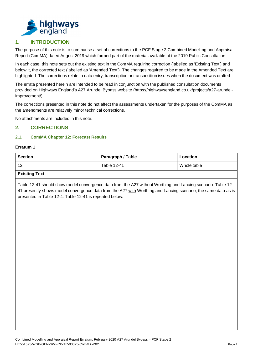

# <span id="page-2-0"></span>**1. INTRODUCTION**

The purpose of this note is to summarise a set of corrections to the PCF Stage 2 Combined Modelling and Appraisal Report (ComMA) dated August 2019 which formed part of the material available at the 2019 Public Consultation.

In each case, this note sets out the existing text in the ComMA requiring correction (labelled as 'Existing Text') and below it, the corrected text (labelled as 'Amended Text'). The changes required to be made in the Amended Text are highlighted. The corrections relate to data entry, transcription or transposition issues when the document was drafted.

The errata presented herein are intended to be read in conjunction with the published consultation documents provided on Highways England's A27 Arundel Bypass website [\(https://highwaysengland.co.uk/projects/a27-arundel](https://highwaysengland.co.uk/projects/a27-arundel-improvement/)[improvement/\)](https://highwaysengland.co.uk/projects/a27-arundel-improvement/).

The corrections presented in this note do not affect the assessments undertaken for the purposes of the ComMA as the amendments are relatively minor technical corrections.

No attachments are included in this note.

## <span id="page-2-1"></span>**2. CORRECTIONS**

### <span id="page-2-2"></span>**2.1. ComMA Chapter 12: Forecast Results**

#### **Erratum 1**

| Section | Paragraph / Table | Location    |
|---------|-------------------|-------------|
| 12      | Table 12-41       | Whole table |

## **Existing Text**

Table 12-41 should show model convergence data from the A27 without Worthing and Lancing scenario. Table 12- 41 presently shows model convergence data from the A27 with Worthing and Lancing scenario; the same data as is presented in Table 12-4. Table 12-41 is repeated below.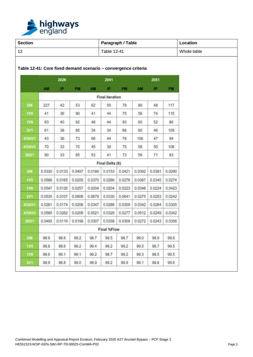

| <b>Section</b> |                                                                |        |           |           | Paragraph / Table      |        | Location    |              |           |  |
|----------------|----------------------------------------------------------------|--------|-----------|-----------|------------------------|--------|-------------|--------------|-----------|--|
|                |                                                                |        |           |           | Table 12-41            |        | Whole table |              |           |  |
|                | Table 12-41: Core fixed demand scenario - convergence criteria |        |           |           |                        |        |             |              |           |  |
|                |                                                                | 2026   |           |           | 2041                   |        |             | 2051         |           |  |
|                | <b>AM</b>                                                      | IP.    | <b>PM</b> | <b>AM</b> | 护.                     | PM     | AM          | <b>IP</b>    | <b>PM</b> |  |
|                |                                                                |        |           |           | <b>Final iteration</b> |        |             |              |           |  |
| DM             | 227                                                            | 42     | 53        | 62        | 55                     | 78     | 89          | 48           | 117       |  |
| <b>1V5</b>     | 41                                                             | 36     | 90        | 41        | 44                     | 75     | 58          | 74           | 115       |  |
| <b>1V9</b>     | 63                                                             | 40     | 92        | 48        | 44                     | 93     | 60          | 52           | 86        |  |
| 3V1            | 61                                                             | 38     | 85        | 34        | 34                     | 68     | 60          | 46           | 109       |  |
| <b>4/5AV1</b>  | 43                                                             | 36     | 73        | 66        | 44                     | 78     | 106         | 47           | 94        |  |
| <b>4/5AV2</b>  | 70                                                             | 33     | 70        | 45        | 39                     | 75     | 58          | 50           | 106       |  |
| 5BV1           | 90                                                             | 33     | 85        | 53        | 41                     | 73     | 59          | $71^{\circ}$ | 83        |  |
|                |                                                                |        |           |           | Final Delta (δ)        |        |             |              |           |  |
| DM             | 0.0330                                                         | 0.0133 | 0.0497    | 0.0189    | 0.0153                 | 0.0421 | 0.0392      | 0.0391       | 0.0290    |  |
| <b>1V5</b>     | 0.0586                                                         | 0.0165 | 0.0205    | 0.0370    | 0.0266                 | 0.0276 | 0.0387      | 0.0345       | 0.0274    |  |
| <b>1V9</b>     | 0.0547                                                         | 0.0126 | 0.0257    | 0.0204    | 0.0204                 | 0.0223 | 0.0348      | 0.0224       | 0.0423    |  |
| <b>3V1</b>     | 0.0535                                                         | 0.0107 | 0.0606    | 0.0679    | 0.0330                 | 0.0641 | 0.0275      | 0.0253       | 0.0242    |  |
| 4/5AV1         | 0.0281                                                         | 0.0174 | 0.0206    | 0.0347    | 0.0286                 | 0.0309 | 0.0342      | 0.0264       | 0.0305    |  |
| <b>4/5AV2</b>  | 0.0585                                                         | 0.0262 | 0.0206    | 0.0521    | 0.0326                 | 0.0277 | 0.0512      | 0.0249       | 0.0342    |  |
| 5BV1           | 0.0495                                                         | 0.0119 | 0.0198    | 0.0307    | 0.0338                 | 0.0309 | 0.0272      | 0.0243       | 0.0356    |  |
|                | Final %Flow                                                    |        |           |           |                        |        |             |              |           |  |
| DM             | 98.9                                                           | 98.6   | 99.2      | 98.7      | 99.5                   | 98.7   | 99.0        | 98.9         | 99.6      |  |
| <b>1V5</b>     | 98.8                                                           | 98.6   | 99.2      | 99.4      | 99.2                   | 99.2   | 99.5        | 98.7         | 99.5      |  |
| <b>1V9</b>     | 98.6                                                           | 99.1   | 99.1      | 99.2      | 98.7                   | 99.2   | 99.3        | 98.5         | 99.5      |  |
| <b>3V1</b>     | 98.9                                                           | 98.8   | 99.0      | 98.9      | 99.2                   | 98.9   | 99.1        | 98.8         | 99.6      |  |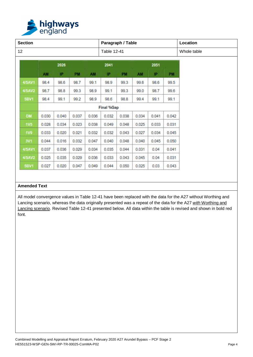

| <b>Section</b> |       |       |       |           | Paragraph / Table  | Location |             |       |       |  |
|----------------|-------|-------|-------|-----------|--------------------|----------|-------------|-------|-------|--|
| 12             |       |       |       |           | <b>Table 12-41</b> |          | Whole table |       |       |  |
|                |       | 2026  |       |           | 2041               |          | 2051        |       |       |  |
|                | AM    | IP    | PM    | <b>AM</b> | IP.                | PM       | AM          | P     | PM    |  |
| 4/5AV1         | 98.4  | 98.6  | 98.7  | 99.1      | 98.9               | 99.3     | 99.6        | 98.6  | 99.5  |  |
| <b>4/5AV2</b>  | 98.7  | 98.8  | 99.3  | 98.9      | 99.1               | 99.3     | 99.0        | 98.7  | 99.6  |  |
| 5BV1           | 98.4  | 99.1  | 99.2  | 98.9      | 98.6               | 98.8     | 99.4        | 99.1  | 99.1  |  |
|                |       |       |       |           | <b>Final %Gap</b>  |          |             |       |       |  |
| <b>DM</b>      | 0.030 | 0.040 | 0.037 | 0.036     | 0.032              | 0.038    | 0.034       | 0.041 | 0.042 |  |
| 1V5            | 0.028 | 0.034 | 0.023 | 0.038     | 0.049              | 0.048    | 0.025       | 0.033 | 0.031 |  |
| <b>1V9</b>     | 0.033 | 0.020 | 0.021 | 0.032     | 0.032              | 0.043    | 0.027       | 0.034 | 0.045 |  |
| 3V1            | 0.044 | 0.016 | 0.032 | 0.047     | 0.040              | 0.048    | 0.040       | 0.045 | 0.050 |  |
| 4/5AV1         | 0.037 | 0.036 | 0.029 | 0.034     | 0.035              | 0.044    | 0.031       | 0.04  | 0.041 |  |
| <b>4/5AV2</b>  | 0.025 | 0.035 | 0.029 | 0.036     | 0.033              | 0.043    | 0.045.      | 0.04  | 0.031 |  |
| 5BV1           | 0.027 | 0.020 | 0.047 | 0.049     | 0.044              | 0.050    | 0.025       | 0.03  | 0.043 |  |

## **Amended Text**

All model convergence values in Table 12-41 have been replaced with the data for the A27 without Worthing and Lancing scenario, whereas the data originally presented was a repeat of the data for the A27 *with* Worthing and Lancing scenario. Revised Table 12-41 presented below. All data within the table is revised and shown in bold red font.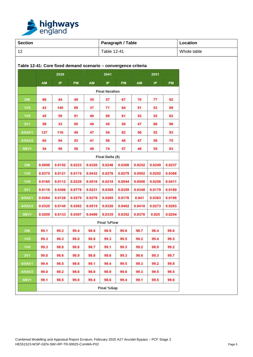

| <b>Section</b>   |        |        |        |        | Paragraph / Table      | Location    |                                                                |        |        |  |
|------------------|--------|--------|--------|--------|------------------------|-------------|----------------------------------------------------------------|--------|--------|--|
|                  |        |        |        |        | Table 12-41            | Whole table |                                                                |        |        |  |
|                  |        |        |        |        |                        |             | Table 12-41: Core fixed demand scenario - convergence criteria |        |        |  |
|                  |        | 2026   |        |        | 2041                   |             |                                                                | 2051   |        |  |
|                  |        |        |        |        |                        |             |                                                                |        |        |  |
|                  | AM     | IP.    | PM     | AM     | IP.                    | PM          | AM                                                             | IP.    | PM     |  |
|                  |        |        |        |        | <b>Final iteration</b> |             |                                                                |        |        |  |
| <b>DM</b>        | 66     | 44     | 49     | 39     | 57                     | 67          | 70                                                             | 77     | 92     |  |
| 1 <sub>V</sub> 5 | 43     | 140    | 89     | 37     | 71                     | 64          | 51                                                             | 53     | 89     |  |
| <b>1V9</b>       | 45     | 59     | 91     | 40     | 68                     | 61          | 52                                                             | 52     | 62     |  |
| 3V1              | 58     | 33     | 95     | 48     | 45                     | 50          | 47                                                             | 66     | 96     |  |
| 4/5AV1           | 127    | 116    | 49     | 47     | 54                     | 82          | 56                                                             | 52     | 93     |  |
| 4/5AV2           | 64     | 94     | 53     | 41     | 56                     | 48          | 47                                                             | 58     | 75     |  |
| 5BV1             | 54     | 90     | 56     | 48     | 74                     | 57          | 46                                                             | 55     | 83     |  |
|                  |        |        |        |        | Final Delta (δ)        |             |                                                                |        |        |  |
| <b>DM</b>        | 0.0098 | 0.0152 | 0.0223 | 0.0320 | 0.0246                 | 0.0300      | 0.0252                                                         | 0.0249 | 0.0237 |  |
| <b>1V5</b>       | 0.0375 | 0.0121 | 0.0174 | 0.0432 | 0.0276                 | 0.0279      | 0.0502                                                         | 0.0292 | 0.0366 |  |
| <b>1V9</b>       | 0.0165 | 0.0112 | 0.0229 | 0.0516 | 0.0218                 | 0.0544      | 0.0506                                                         | 0.0256 | 0.0411 |  |
| 3V1              | 0.0118 | 0.0306 | 0.0778 | 0.0231 | 0.0305                 | 0.0359      | 0.0348                                                         | 0.0179 | 0.0189 |  |
| 4/5AV1           | 0.0264 | 0.0128 | 0.0279 | 0.0276 | 0.0265                 | 0.0176      | 0.041                                                          | 0.0363 | 0.0198 |  |
| 4/5AV2           | 0.0325 | 0.0145 | 0.0262 | 0.0515 | 0.0320                 | 0.0402      | 0.0410                                                         | 0.0273 | 0.0293 |  |
| 5BV1             | 0.0209 | 0.0133 | 0.0307 | 0.0406 | 0.0335                 | 0.0352      | 0.0376                                                         | 0.025  | 0.0254 |  |
|                  |        |        |        |        | <b>Final %Flow</b>     |             |                                                                |        |        |  |
| <b>DM</b>        | 99.1   | 99.2   | 99.4   | 98.8   | 98.9                   | 99.6        | 98.7                                                           | 98.4   | 99.6   |  |
| 1V <sub>5</sub>  | 99.3   | 98.3   | 98.0   | 98.8   | 99.3                   | 99.5        | 99.2                                                           | 99.4   | 99.5   |  |
| <b>1V9</b>       | 99.3   | 98.8   | 98.8   | 98.7   | 99.1                   | 99.3        | 99.2                                                           | 98.9   | 99.2   |  |
| 3V1              | 99.0   | 98.6   | 98.9   | 98.8   | 98.6                   | 99.3        | 98.6                                                           | 99.3   | 99.7   |  |
| 4/5AV1           | 99.4   | 98.5   | 98.6   | 99.1   | 98.4                   | 99.5        | 99.3                                                           | 99.2   | 99.8   |  |
| 4/5AV2           | 99.0   | 98.2   | 98.6   | 98.8   | 98.9                   | 99.0        | 99.3                                                           | 99.5   | 99.5   |  |
| <b>5BV1</b>      | 99.1   | 98.5   | 99.0   | 99.4   | 98.6                   | 99.4        | 99.1                                                           | 99.5   | 99.6   |  |
|                  |        |        |        |        | <b>Final %Gap</b>      |             |                                                                |        |        |  |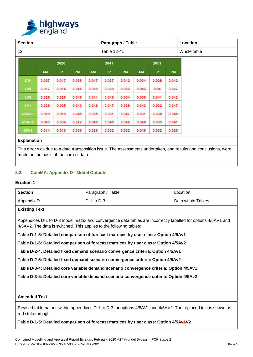

| <b>Section</b>   |       |       |             |       | Paragraph / Table |             |           | Location |           |  |
|------------------|-------|-------|-------------|-------|-------------------|-------------|-----------|----------|-----------|--|
| 12               |       |       | Table 12-41 |       |                   | Whole table |           |          |           |  |
|                  | 2026  |       |             |       | 2041<br>2051      |             |           |          |           |  |
|                  | AM    | IP    | <b>PM</b>   | AM    | IP                | <b>PM</b>   | <b>AM</b> | IP       | <b>PM</b> |  |
| <b>DM</b>        | 0.037 | 0.017 | 0.038       | 0.047 | 0.037             | 0.042       | 0.034     | 0.038    | 0.042     |  |
| 1 <sub>V</sub> 5 | 0.017 | 0.016 | 0.045       | 0.039 | 0.029             | 0.032       | 0.043     | 0.04     | 0.027     |  |
| <b>1V9</b>       | 0.025 | 0.025 | 0.045       | 0.041 | 0.045             | 0.034       | 0.038     | 0.041    | 0.042     |  |
| <b>3V1</b>       | 0.038 | 0.025 | 0.043       | 0.046 | 0.047             | 0.039       | 0.042     | 0.032    | 0.047     |  |
| 4/5AV1           | 0.019 | 0.010 | 0.048       | 0.038 | 0.031             | 0.047       | 0.031     | 0.030    | 0.048     |  |
| 4/5AV2           | 0.043 | 0.034 | 0.027       | 0.046 | 0.048             | 0.042       | 0.046     | 0.035    | 0.041     |  |
| 5BV1             | 0.014 | 0.018 | 0.038       | 0.028 | 0.032             | 0.032       | 0.048     | 0.032    | 0.028     |  |

### **Explanation**

This error was due to a data transposition issue. The assessments undertaken, and results and conclusions, were made on the basis of the correct data.

### <span id="page-6-0"></span>**2.2. ComMA: Appendix D - Model Outputs**

#### **Erratum 1**

| Section         | Paragraph / Table | Location           |  |  |  |  |  |
|-----------------|-------------------|--------------------|--|--|--|--|--|
| Appendix D      | $D-1$ to $D-3$    | Data within Tables |  |  |  |  |  |
| - 青いたんだん みっすいしん |                   |                    |  |  |  |  |  |

## **Existing Text**

Appendices D-1 to D-3 model matrix and convergence data tables are incorrectly labelled for options 4/5AV1 and 4/5AV2. The data is switched. This applies to the following tables:

**Table D-1-5: Detailed comparison of forecast matrices by user class: Option 4/5Av1**

**Table D-1-6: Detailed comparison of forecast matrices by user class: Option 4/5Av2**

**Table D-2-4: Detailed fixed demand scenario convergence criteria: Option 4/5Av1**

**Table D-2-5: Detailed fixed demand scenario convergence criteria: Option 4/5Av2**

**Table D-3-4: Detailed core variable demand scenario convergence criteria: Option 4/5Av1**

**Table D-3-5: Detailed core variable demand scenario convergence criteria: Option 4/5Av2**

## **Amended Text**

Revised table names within appendices D-1 to D-3 for options 4/5AV1 and 4/5AV2. The replaced text is shown as red strikethrough.

#### **Table D-1-5: Detailed comparison of forecast matrices by user class: Option 4/5Av1V2**